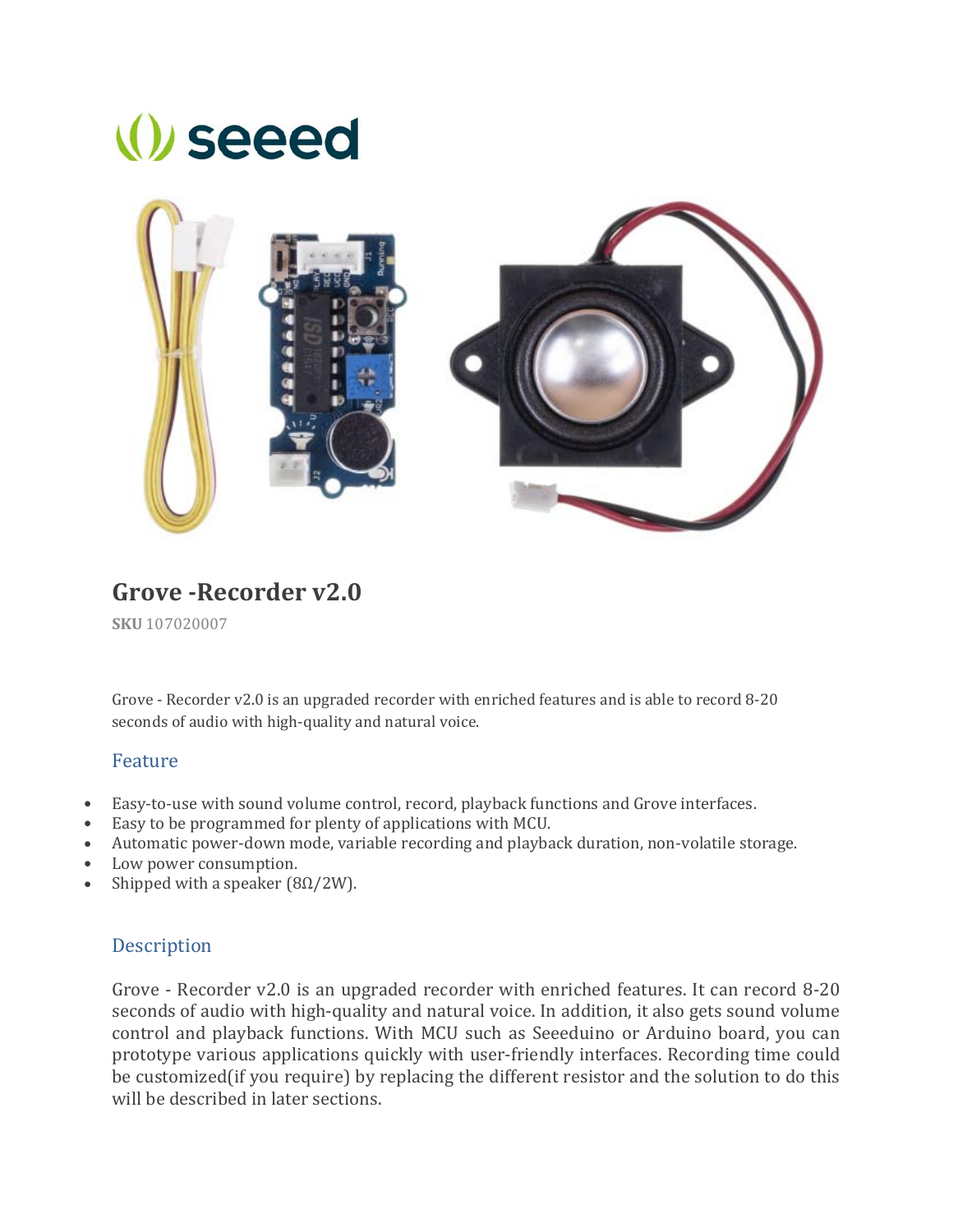# (*l)* seeed



# **Grove ‐Recorder v2.0**

**SKU** 107020007

Grove - Recorder v2.0 is an upgraded recorder with enriched features and is able to record 8-20 seconds of audio with high-quality and natural voice.

### Feature

- Easy-to-use with sound volume control, record, playback functions and Grove interfaces.
- Easy to be programmed for plenty of applications with MCU.
- Automatic power-down mode, variable recording and playback duration, non-volatile storage.
- Low power consumption.
- Shipped with a speaker  $(8\Omega/2W)$ .

### **Description**

Grove - Recorder v2.0 is an upgraded recorder with enriched features. It can record 8-20 seconds of audio with high-quality and natural voice. In addition, it also gets sound volume control and playback functions. With MCU such as Seeeduino or Arduino board, you can prototype various applications quickly with user-friendly interfaces. Recording time could be customized(if you require) by replacing the different resistor and the solution to do this will be described in later sections.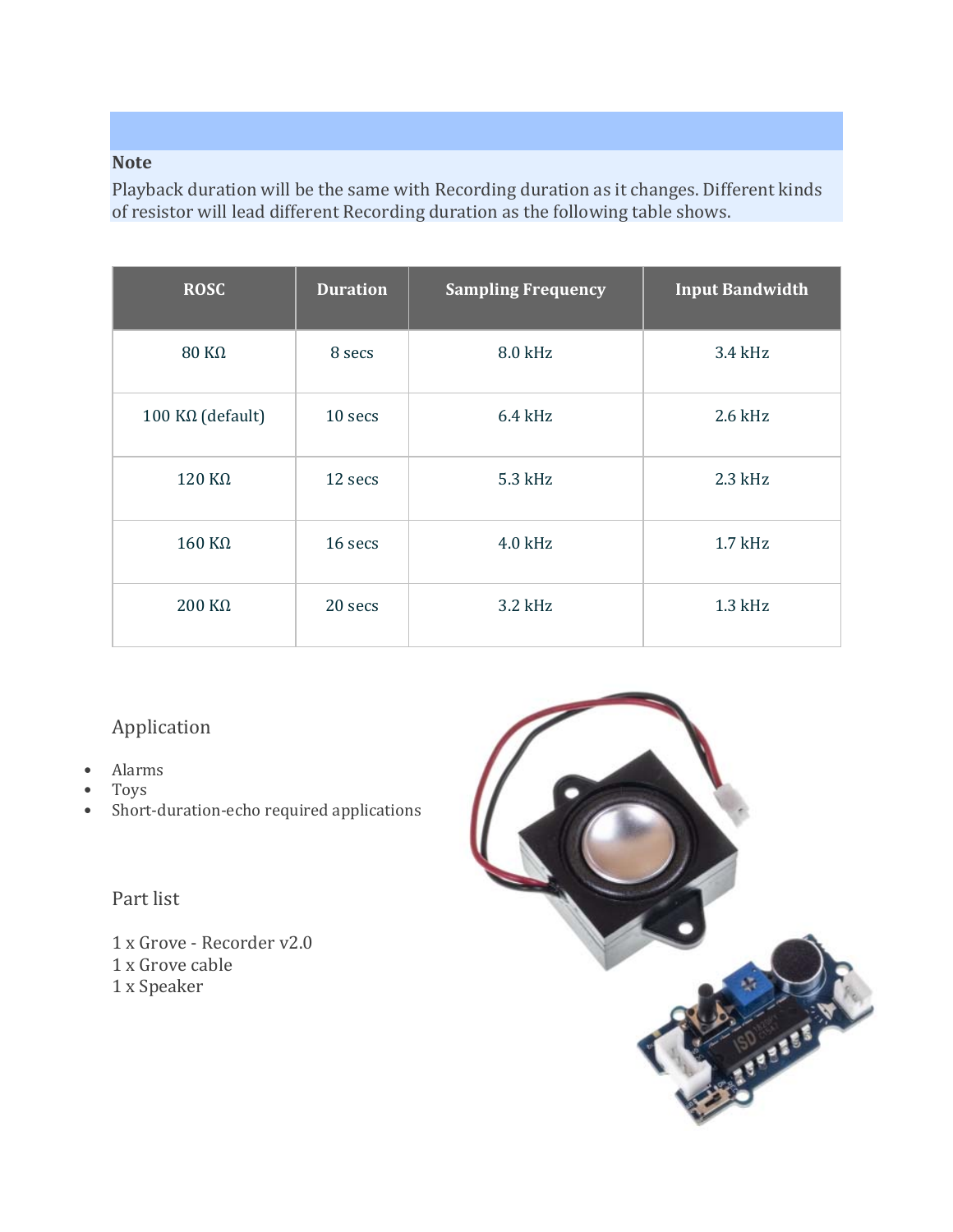# **Note**

Playback duration will be the same with Recording duration as it changes. Different kinds of resistor will lead different Recording duration as the following table shows.

| <b>ROSC</b>      | <b>Duration</b> | <b>Sampling Frequency</b> | <b>Input Bandwidth</b> |
|------------------|-----------------|---------------------------|------------------------|
| $80 K\Omega$     | 8 secs          | 8.0 kHz                   | 3.4 kHz                |
| 100 KΩ (default) | 10 secs         | $6.4$ kHz                 | $2.6$ kHz              |
| $120 K\Omega$    | 12 secs         | 5.3 kHz                   | $2.3$ kHz              |
| $160$ KΩ         | 16 secs         | 4.0 kHz                   | $1.7$ kHz              |
| $200 K\Omega$    | 20 secs         | 3.2 kHz                   | $1.3$ kHz              |

## Application

- Alarms
- Toys
- Short-duration-echo required applications

Part list

1 x Grove - Recorder v2.0 1 x Grove cable 1 x Speaker